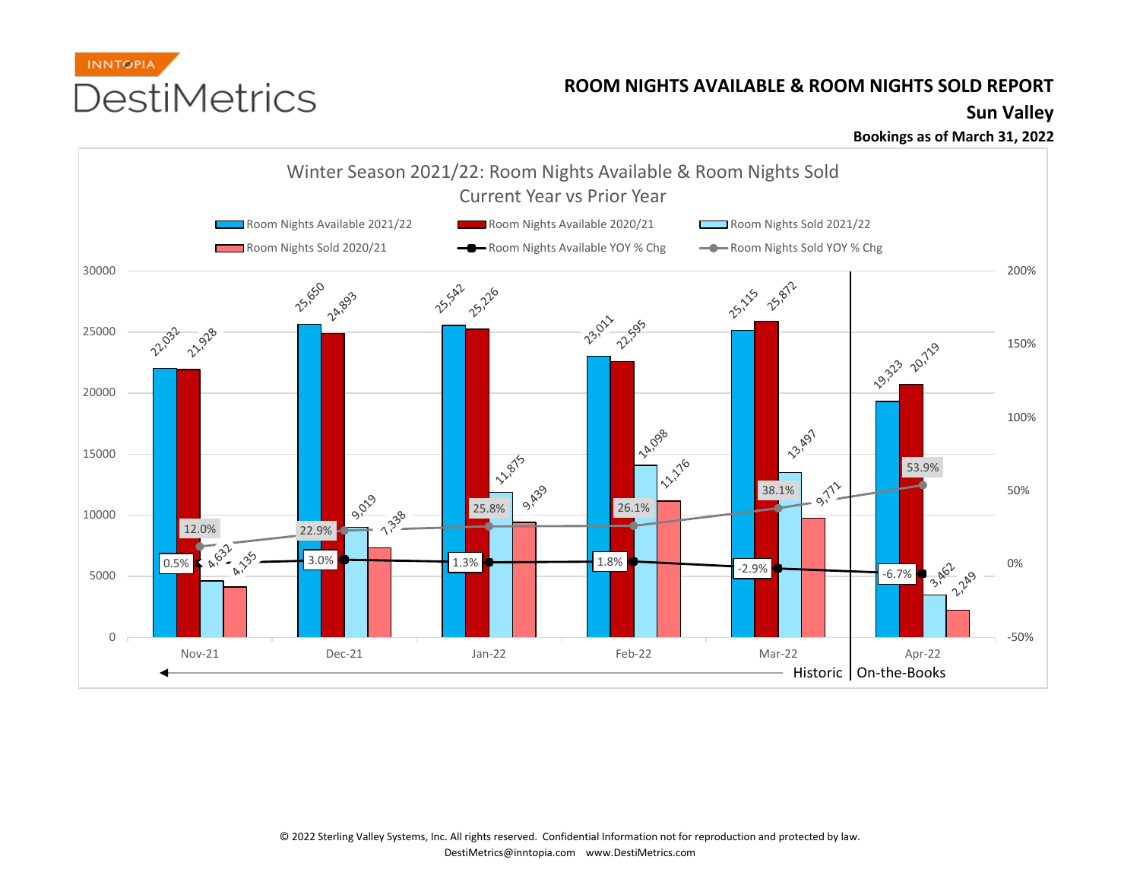

## **ROOM NIGHTS AVAILABLE & ROOM NIGHTS SOLD REPORT**

## **Sun Valley**

**Bookings as of March 31, 2022**